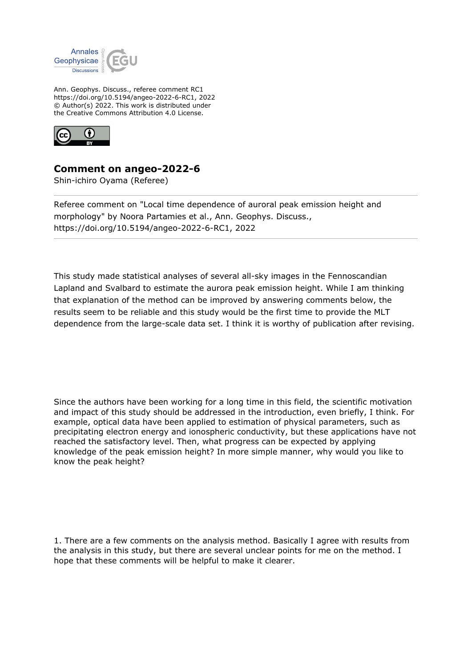

Ann. Geophys. Discuss., referee comment RC1 https://doi.org/10.5194/angeo-2022-6-RC1, 2022 © Author(s) 2022. This work is distributed under the Creative Commons Attribution 4.0 License.



## **Comment on angeo-2022-6**

Shin-ichiro Oyama (Referee)

Referee comment on "Local time dependence of auroral peak emission height and morphology" by Noora Partamies et al., Ann. Geophys. Discuss., https://doi.org/10.5194/angeo-2022-6-RC1, 2022

This study made statistical analyses of several all-sky images in the Fennoscandian Lapland and Svalbard to estimate the aurora peak emission height. While I am thinking that explanation of the method can be improved by answering comments below, the results seem to be reliable and this study would be the first time to provide the MLT dependence from the large-scale data set. I think it is worthy of publication after revising.

Since the authors have been working for a long time in this field, the scientific motivation and impact of this study should be addressed in the introduction, even briefly, I think. For example, optical data have been applied to estimation of physical parameters, such as precipitating electron energy and ionospheric conductivity, but these applications have not reached the satisfactory level. Then, what progress can be expected by applying knowledge of the peak emission height? In more simple manner, why would you like to know the peak height?

1. There are a few comments on the analysis method. Basically I agree with results from the analysis in this study, but there are several unclear points for me on the method. I hope that these comments will be helpful to make it clearer.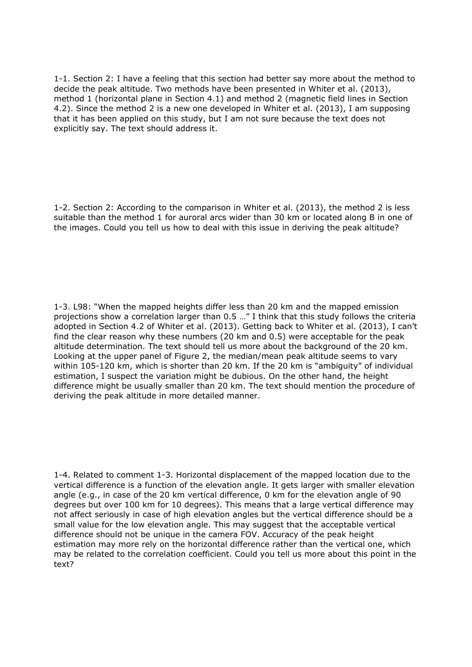1-1. Section 2: I have a feeling that this section had better say more about the method to decide the peak altitude. Two methods have been presented in Whiter et al. (2013), method 1 (horizontal plane in Section 4.1) and method 2 (magnetic field lines in Section 4.2). Since the method 2 is a new one developed in Whiter et al. (2013), I am supposing that it has been applied on this study, but I am not sure because the text does not explicitly say. The text should address it.

1-2. Section 2: According to the comparison in Whiter et al. (2013), the method 2 is less suitable than the method 1 for auroral arcs wider than 30 km or located along B in one of the images. Could you tell us how to deal with this issue in deriving the peak altitude?

1-3. L98: "When the mapped heights differ less than 20 km and the mapped emission projections show a correlation larger than 0.5 …" I think that this study follows the criteria adopted in Section 4.2 of Whiter et al. (2013). Getting back to Whiter et al. (2013), I can't find the clear reason why these numbers (20 km and 0.5) were acceptable for the peak altitude determination. The text should tell us more about the background of the 20 km. Looking at the upper panel of Figure 2, the median/mean peak altitude seems to vary within 105-120 km, which is shorter than 20 km. If the 20 km is "ambiguity" of individual estimation, I suspect the variation might be dubious. On the other hand, the height difference might be usually smaller than 20 km. The text should mention the procedure of deriving the peak altitude in more detailed manner.

1-4. Related to comment 1-3. Horizontal displacement of the mapped location due to the vertical difference is a function of the elevation angle. It gets larger with smaller elevation angle (e.g., in case of the 20 km vertical difference, 0 km for the elevation angle of 90 degrees but over 100 km for 10 degrees). This means that a large vertical difference may not affect seriously in case of high elevation angles but the vertical difference should be a small value for the low elevation angle. This may suggest that the acceptable vertical difference should not be unique in the camera FOV. Accuracy of the peak height estimation may more rely on the horizontal difference rather than the vertical one, which may be related to the correlation coefficient. Could you tell us more about this point in the text?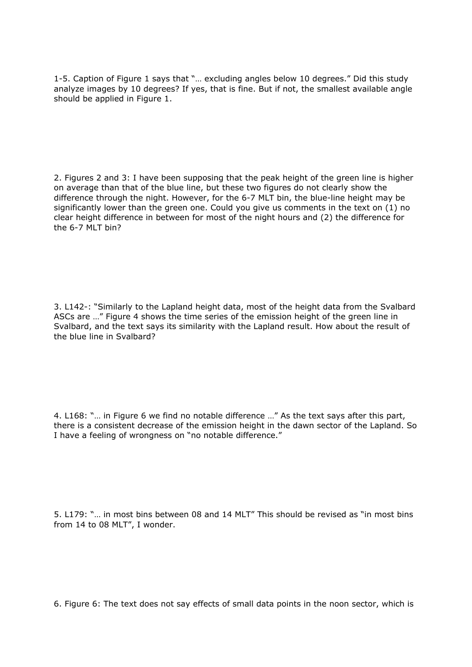1-5. Caption of Figure 1 says that "… excluding angles below 10 degrees." Did this study analyze images by 10 degrees? If yes, that is fine. But if not, the smallest available angle should be applied in Figure 1.

2. Figures 2 and 3: I have been supposing that the peak height of the green line is higher on average than that of the blue line, but these two figures do not clearly show the difference through the night. However, for the 6-7 MLT bin, the blue-line height may be significantly lower than the green one. Could you give us comments in the text on  $(1)$  no clear height difference in between for most of the night hours and (2) the difference for the 6-7 MLT bin?

3. L142-: "Similarly to the Lapland height data, most of the height data from the Svalbard ASCs are …" Figure 4 shows the time series of the emission height of the green line in Svalbard, and the text says its similarity with the Lapland result. How about the result of the blue line in Svalbard?

4. L168: "… in Figure 6 we find no notable difference …" As the text says after this part, there is a consistent decrease of the emission height in the dawn sector of the Lapland. So I have a feeling of wrongness on "no notable difference."

5. L179: "… in most bins between 08 and 14 MLT" This should be revised as "in most bins from 14 to 08 MLT", I wonder.

6. Figure 6: The text does not say effects of small data points in the noon sector, which is